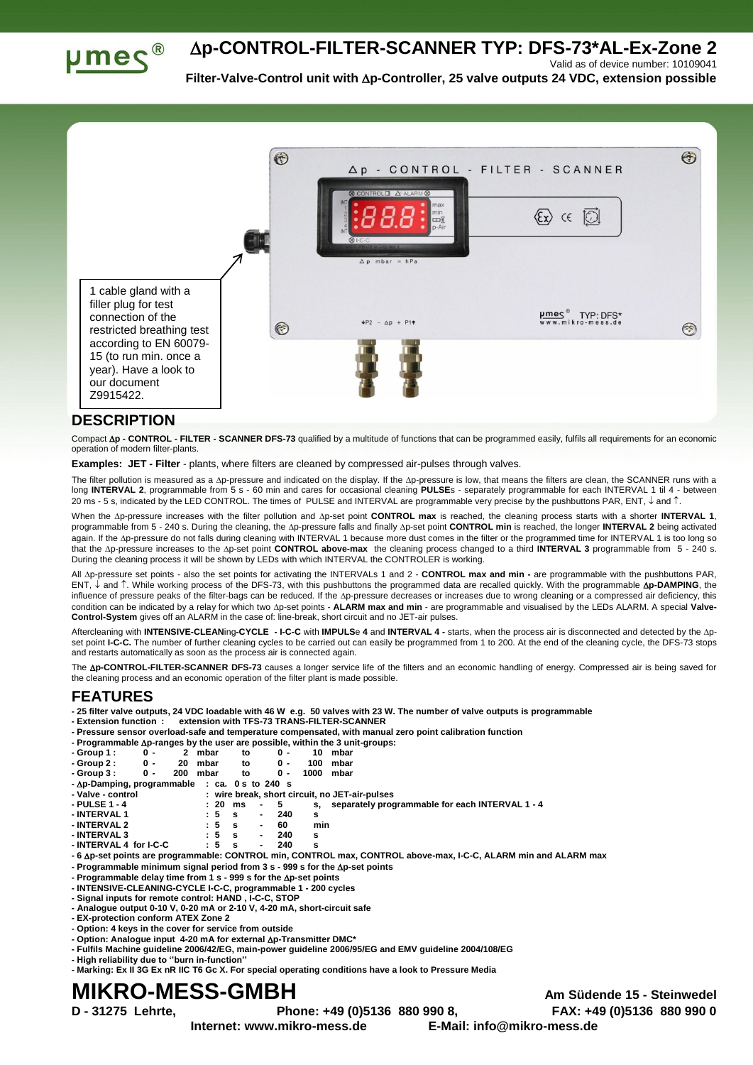**p-CONTROL-FILTER-SCANNER TYP: DFS-73\*AL-Ex-Zone 2**



**Filter-Valve-Control unit with p-Controller, 25 valve outputs 24 VDC, extension possible**

Valid as of device number: 10109041



## **DESCRIPTION**

Compact **p - CONTROL - FILTER - SCANNER DFS-73** qualified by a multitude of functions that can be programmed easily, fulfils all requirements for an economic operation of modern filter-plants.

**Examples: JET - Filter** - plants, where filters are cleaned by compressed air-pulses through valves.

The filter pollution is measured as a ∆p-pressure and indicated on the display. If the ∆p-pressure is low, that means the filters are clean, the SCANNER runs with a<br>long **INTERVAL 2**, programmable from 5 s - 60 min and ca 20 ms - 5 s, indicated by the LED CONTROL. The times of PULSE and INTERVAL are programmable very precise by the pushbuttons PAR, ENT,  $\downarrow$  and  $\uparrow$ .

When the Ap-pressure increases with the filter pollution and Ap-set point CONTROL max is reached, the cleaning process starts with a shorter INTERVAL 1, programmable from 5 - 240 s. During the cleaning, the Ap-pressure falls and finally Ap-set point CONTROL min is reached, the longer INTERVAL 2 being activated again. If the Ap-pressure do not falls during cleaning with INTERVAL 1 because more dust comes in the filter or the programmed time for INTERVAL 1 is too long so that the Ap-pressure increases to the Ap-set point CONTROL above-max the cleaning process changed to a third INTERVAL 3 programmable from 5 - 240 s. During the cleaning process it will be shown by LEDs with which INTERVAL the CONTROLER is working.

All  $\Delta p$ -pressure set points - also the set points for activating the INTERVALs 1 and 2 - CONTROL max and min - are programmable with the pushbuttons PAR, ENT, ↓ and 1. While working process of the DFS-73, with this pushbuttons the programmed data are recalled quickly. With the programmable **Ap-DAMPING**, the influence of pressure peaks of the filter-bags can be reduced. If the Ap-pressure decreases or increases due to wrong cleaning or a compressed air deficiency, this condition can be indicated by a relay for which two Ap-set points - ALARM max and min - are programmable and visualised by the LEDs ALARM. A special Valve-**Control-System** gives off an ALARM in the case of: line-break, short circuit and no JET-air pulses.

Aftercleaning with **INTENSIVE-CLEAN**ing**-CYCLE - I-C-C** with **IMPULS**e **4** and **INTERVAL 4 -** starts, when the process air is disconnected and detected by the pset point I-C-C. The number of further cleaning cycles to be carried out can easily be programmed from 1 to 200. At the end of the cleaning cycle, the DFS-73 stops and restarts automatically as soon as the process air is connected again.

The **Ap-CONTROL-FILTER-SCANNER DFS-73** causes a longer service life of the filters and an economic handling of energy. Compressed air is being saved for the cleaning process and an economic operation of the filter plant is made possible.

## **FEATURES**

**- 25 filter valve outputs, 24 VDC loadable with 46 W e.g. 50 valves with 23 W. The number of valve outputs is programmable**

**- Extension function : extension with TFS-73 TRANS-FILTER-SCANNER**

**- Pressure sensor overload-safe and temperature compensated, with manual zero point calibration function**

|                                               |                |          |    |     |      | - Programmable $\Delta p$ -ranges by the user are possible, within the 3 unit-groups: |
|-----------------------------------------------|----------------|----------|----|-----|------|---------------------------------------------------------------------------------------|
| - Group 1 :                                   | 0 -            | 2 mbar   | to | Ω.  |      | 10 mbar                                                                               |
| - Group 2 :                                   | 0 -            | 20 mbar  | to | ი - | 100  | mbar                                                                                  |
| - Group 3 :                                   | $\mathbf{0}$ - | 200 mbar | tο | ი - | 1000 | mbar                                                                                  |
| - Δp-Damping, programmable : ca. 0 s to 240 s |                |          |    |     |      |                                                                                       |

| - Valve - control |  |  |  | : wire break, short circuit, no JET-air-pulses |
|-------------------|--|--|--|------------------------------------------------|

| - PULSE 1 - 4 |  | :20 ms - 5 |                         | s, separately programmable for each INTERVAL 1 - 4 |
|---------------|--|------------|-------------------------|----------------------------------------------------|
| - INTERVAL 1  |  |            | $:5 \quad s \qquad 240$ |                                                    |

| - INTERVAL 2           | $\pm 5$ | -S | $\sim$ | 60  | min |
|------------------------|---------|----|--------|-----|-----|
| - INTERVAL 3           | $\pm$ 5 | s  | . .    | 240 |     |
| - INTERVAL 4 for I-C-C | $\pm 5$ | s  | . .    | 240 |     |

**- 6 p-set points are programmable: CONTROL min, CONTROL max, CONTROL above-max, I-C-C, ALARM min and ALARM max**

**- Programmable minimum signal period from 3 s - 999 s for the p-set points**

**- Programmable delay time from 1 s - 999 s for the p-set points**

**- INTENSIVE-CLEANING-CYCLE I-C-C, programmable 1 - 200 cycles**

- **- Signal inputs for remote control: HAND , I-C-C, STOP - Analogue output 0-10 V, 0-20 mA or 2-10 V, 4-20 mA, short-circuit safe**
- **- EX-protection conform ATEX Zone 2**
- **- Option: 4 keys in the cover for service from outside**
- **- Option: Analogue input 4-20 mA for external p-Transmitter DMC\***
- **- Fulfils Machine guideline 2006/42/EG, main-power guideline 2006/95/EG and EMV guideline 2004/108/EG**
- **- High reliability due to ''burn in-function''**
- **- Marking: Ex II 3G Ex nR IIC T6 Gc X. For special operating conditions have a look to Pressure Media**

## **MIKRO-MESS-GMBH Am Südende 15 - Steinwedel**

**Internet: www.mikro-mess.de E-Mail: info@mikro-mess.de**

**D - 31275 Lehrte, Phone: +49 (0)5136 880 990 8, FAX: +49 (0)5136 880 990 0**